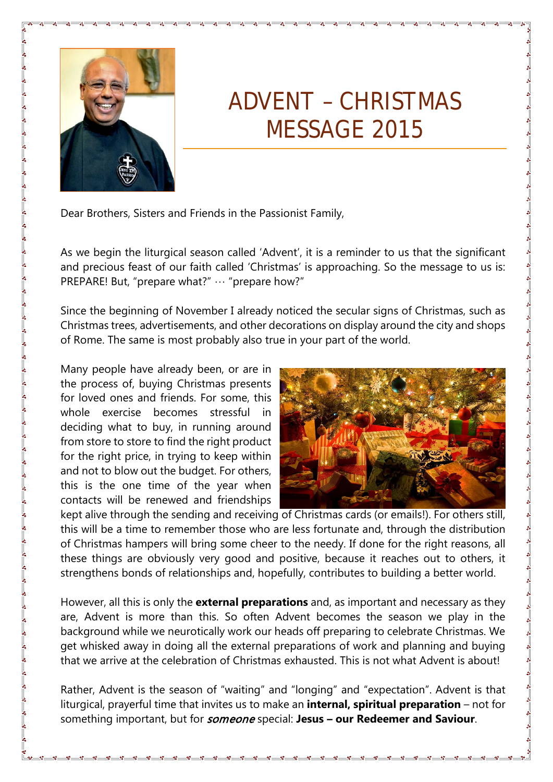

## ADVENT – CHRISTMAS MESSAGE 2015

Dear Brothers, Sisters and Friends in the Passionist Family,

As we begin the liturgical season called 'Advent', it is a reminder to us that the significant and precious feast of our faith called 'Christmas' is approaching. So the message to us is: PREPARE! But, "prepare what?" … "prepare how?"

Since the beginning of November I already noticed the secular signs of Christmas, such as Christmas trees, advertisements, and other decorations on display around the city and shops of Rome. The same is most probably also true in your part of the world.

Many people have already been, or are in the process of, buying Christmas presents for loved ones and friends. For some, this whole exercise becomes stressful in deciding what to buy, in running around from store to store to find the right product for the right price, in trying to keep within and not to blow out the budget. For others, this is the one time of the year when contacts will be renewed and friendships



kept alive through the sending and receiving of Christmas cards (or emails!). For others still, this will be a time to remember those who are less fortunate and, through the distribution of Christmas hampers will bring some cheer to the needy. If done for the right reasons, all these things are obviously very good and positive, because it reaches out to others, it strengthens bonds of relationships and, hopefully, contributes to building a better world.

However, all this is only the **external preparations** and, as important and necessary as they are, Advent is more than this. So often Advent becomes the season we play in the background while we neurotically work our heads off preparing to celebrate Christmas. We get whisked away in doing all the external preparations of work and planning and buying that we arrive at the celebration of Christmas exhausted. This is not what Advent is about!

Rather, Advent is the season of "waiting" and "longing" and "expectation". Advent is that liturgical, prayerful time that invites us to make an **internal, spiritual preparation** – not for something important, but for someone special: **Jesus – our Redeemer and Saviour**.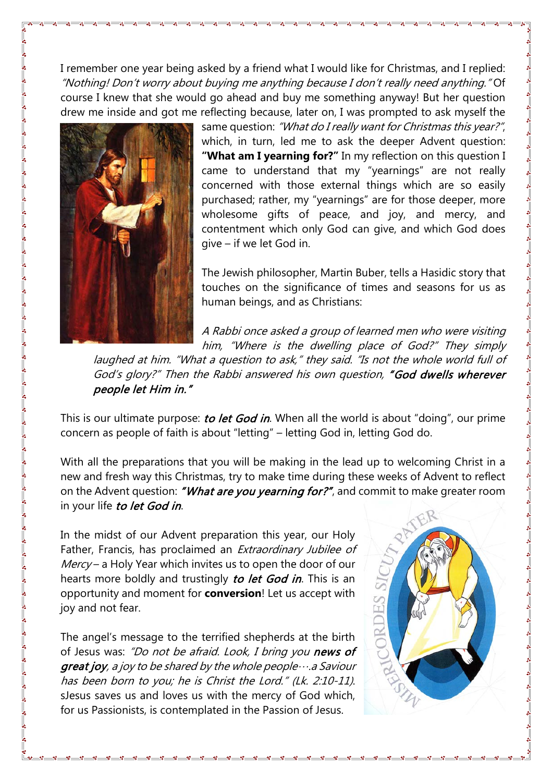I remember one year being asked by a friend what I would like for Christmas, and I replied: "Nothing! Don't worry about buying me anything because I don't really need anything." Of course I knew that she would go ahead and buy me something anyway! But her question drew me inside and got me reflecting because, later on, I was prompted to ask myself the



same question: "What do I really want for Christmas this year?", which, in turn, led me to ask the deeper Advent question: **"What am I yearning for?"** In my reflection on this question I came to understand that my "yearnings" are not really concerned with those external things which are so easily purchased; rather, my "yearnings" are for those deeper, more wholesome gifts of peace, and joy, and mercy, and contentment which only God can give, and which God does give – if we let God in.

The Jewish philosopher, Martin Buber, tells a Hasidic story that touches on the significance of times and seasons for us as human beings, and as Christians:

A Rabbi once asked a group of learned men who were visiting him, "Where is the dwelling place of God?" They simply

laughed at him. "What a question to ask," they said. "Is not the whole world full of God's glory?" Then the Rabbi answered his own question, "God dwells wherever people let Him in."

This is our ultimate purpose: to let God in. When all the world is about "doing", our prime concern as people of faith is about "letting" – letting God in, letting God do.

With all the preparations that you will be making in the lead up to welcoming Christ in a new and fresh way this Christmas, try to make time during these weeks of Advent to reflect on the Advent question: "What are you yearning for?", and commit to make greater room in your life to let God in.

In the midst of our Advent preparation this year, our Holy Father, Francis, has proclaimed an Extraordinary Jubilee of  $$ hearts more boldly and trustingly to let God in. This is an opportunity and moment for **conversion**! Let us accept with joy and not fear.

The angel's message to the terrified shepherds at the birth of Jesus was: "Do not be afraid. Look, I bring you news of **great joy**, a joy to be shared by the whole people $\cdots$  a Saviour has been born to you; he is Christ the Lord." (Lk. 2:10-11). sJesus saves us and loves us with the mercy of God which, for us Passionists, is contemplated in the Passion of Jesus.